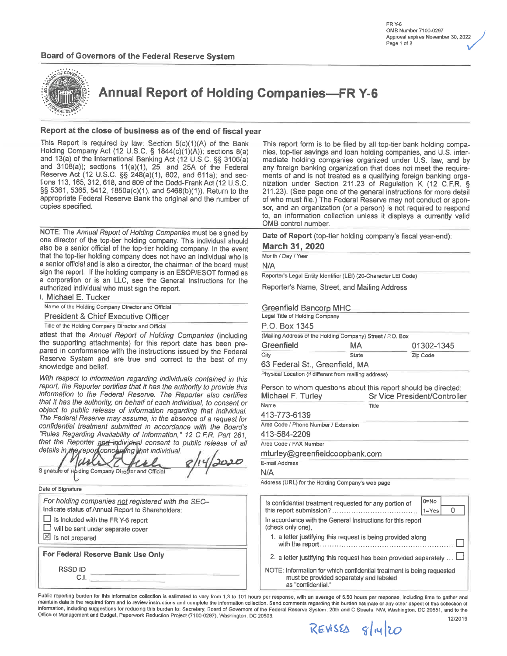

**Annual Report of Holding Companies-FR Y-6** 

#### Report at the close of business as of the end of fiscal year

This Report is required by law: Section 5(c)(1)(A) of the Bank Holding Company Act (12 U.S.C. § 1844(c)(1)(A)); sections 8(a) and 13(a) of the International Banking Act (12 U.S.C. §§ 3106(a) and  $3108(a)$ ; sections  $11(a)(1)$ ,  $25$ , and  $25A$  of the Federal Reserve Act (12 U.S.C. §§  $248(a)(1)$ , 602, and 611a); and sections 113, 165, 312, 618, and 809 of the Dodd-Frank Act (12 U.S.C. §§ 5361, 5365, 5412, 1850a(c)(1), and 5468(b)(1)). Return to the appropriate Federal Reserve Bank the original and the number of copies specified.

NOTE: The Annual Report of Holding Companies must be signed by one director of the top-tier holding company. This individual should also be a senior official of the top-tier holding company. In the event that the top-tier holding company does not have an individual who is a senior official and is also a director, the chairman of the board must sign the report. If the holding company is an ESOP/ESOT formed as a corporation or is an LLC, see the General Instructions for the authorized individual who must sign the report.

1, Michael E. Tucker

Name of the Holding Company Director and Official

**President & Chief Executive Officer** 

Title of the Holding Company Director and Official

attest that the Annual Report of Holding Companies (including the supporting attachments) for this report date has been prepared in conformance with the instructions issued by the Federal Reserve System and are true and correct to the best of my knowledge and belief.

With respect to information regarding individuals contained in this report, the Reporter certifies that it has the authority to provide this information to the Federal Reserve. The Reporter also certifies that it has the authority, on behalf of each individual, to consent or object to public release of information regarding that individual. The Federal Reserve may assume, in the absence of a request for confidential treatment submitted in accordance with the Board's "Rules Regarding Availability of Information," 12 C.F.R. Part 261, that the Reporter and individual consent to public release of all

| <i><b>Details in the report concerning that individual.</b></i><br>Signature of Holding Company Director and Official | 220 |
|-----------------------------------------------------------------------------------------------------------------------|-----|
| Data of Signature                                                                                                     |     |

For holding companies not registered with the SEC-Indicate status of Annual Report to Shareholders:  $\Box$  is included with the FR Y-6 report  $\Box$  will be sent under separate cover  $\boxtimes$  is not prepared

For Federal Reserve Bank Use Only

**RSSDID** C.I.

This report form is to be filed by all top-tier bank holding companies, top-tier savings and loan holding companies, and U.S. intermediate holding companies organized under U.S. law, and by any foreign banking organization that does not meet the requirements of and is not treated as a qualifying foreign banking organization under Section 211.23 of Regulation K (12 C.F.R. § 211.23). (See page one of the general instructions for more detail of who must file.) The Federal Reserve may not conduct or sponsor, and an organization (or a person) is not required to respond to, an information collection unless it displays a currently valid OMB control number.

Date of Report (top-tier holding company's fiscal year-end):

**March 31, 2020** 

Month / Day / Year

 $N/A$ 

Reporter's Legal Entity Identifier (LEI) (20-Character LEI Code)

Reporter's Name, Street, and Mailing Address

#### Greenfield Bancorp MHC

| Legal Title of Holding Company                             |              |            |
|------------------------------------------------------------|--------------|------------|
| P.O. Box 1345                                              |              |            |
| (Mailing Address of the Holding Company) Street / P.O. Box |              |            |
| Greenfield                                                 | MА           | 01302-1345 |
| City                                                       | <b>State</b> | Zip Code   |
|                                                            |              |            |

63 Federal St., Greenfield, MA

Physical Location (if different from mailing address)

Person to whom questions about this report should be directed: Michael F. Turley Sr Vice President/Controller

| Name                                 | Title |
|--------------------------------------|-------|
| 413-773-6139                         |       |
| Area Code / Phone Number / Extension |       |
| 413-584-2209                         |       |
| Area Code / FAX Number               |       |
| mturley@greenfieldcoopbank.com       |       |
| E-mail Address                       |       |
| N/A                                  |       |
| $\cdot$                              |       |

Address (URL) for the Holding Company's web page

| $0 = No$<br>Is confidential treatment requested for any portion of<br>$1 = Yes$                                                        |
|----------------------------------------------------------------------------------------------------------------------------------------|
| In accordance with the General Instructions for this report<br>(check only one).                                                       |
| 1. a letter justifying this request is being provided along                                                                            |
| 2. a letter justifying this request has been provided separately $\dots$                                                               |
| NOTE: Information for which confidential treatment is being requested<br>must be provided separately and labeled<br>as "confidential." |

Public reporting burden for this information collection is estimated to vary from 1.3 to 101 hours per response, with an average of 5.50 hours per response, including time to gather and maintain data in the required form and to review instructions and complete the information collection. Send comments regarding this burden estimate or any other aspect of this collection of information, including suggestions for reducing this burden to: Secretary, Board of Governors of the Federal Reserve System, 20th and C Streets, NW, Washington, DC 20551, and to the Office of Management and Budget, Paperwork Reduction Project (7100-0297), Washington, DC 20503.

 $REWSS_{18}$   $slu20$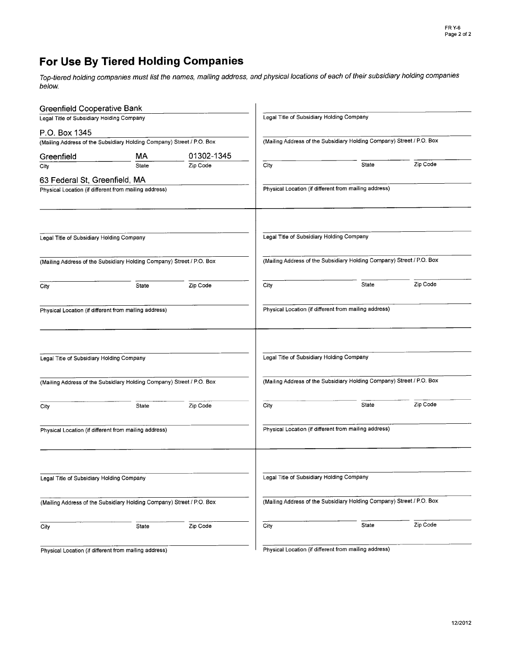## For Use By Tiered Holding Gompanies

Top-tiered holding companies must list the names, mailing address, and physical locations of each of their subsidiary holding companies below.

| <b>Greenfield Cooperative Bank</b>                    |                                                                       |                                           |      |                                                                       |          |
|-------------------------------------------------------|-----------------------------------------------------------------------|-------------------------------------------|------|-----------------------------------------------------------------------|----------|
| Legal Title of Subsidiary Holding Company             |                                                                       | Legal Title of Subsidiary Holding Company |      |                                                                       |          |
| P.O. Box 1345                                         |                                                                       |                                           |      |                                                                       |          |
|                                                       | (Mailing Address of the Subsidiary Holding Company) Street / P.O. Box |                                           |      | (Mailing Address of the Subsidiary Holding Company) Street / P.O. Box |          |
| Greenfield                                            | МA                                                                    | 01302-1345                                |      |                                                                       |          |
| City                                                  | State                                                                 | Zip Code                                  | City | State                                                                 | Zip Code |
| 63 Federal St, Greenfield, MA                         |                                                                       |                                           |      |                                                                       |          |
| Physical Location (if different from mailing address) |                                                                       |                                           |      | Physical Location (if different from mailing address)                 |          |
|                                                       |                                                                       |                                           |      |                                                                       |          |
|                                                       |                                                                       |                                           |      |                                                                       |          |
| Legal Title of Subsidiary Holding Company             |                                                                       |                                           |      | Legal Title of Subsidiary Holding Company                             |          |
|                                                       | (Mailing Address of the Subsidiary Holding Company) Street / P.O. Box |                                           |      | (Mailing Address of the Subsidiary Holding Company) Street / P.O. Box |          |
| City                                                  | State                                                                 | Zip Code                                  | City | State                                                                 | Zip Code |
| Physical Location (if different from mailing address) |                                                                       |                                           |      | Physical Location (if different from mailing address)                 |          |
| Legal Title of Subsidiary Holding Company             |                                                                       |                                           |      | Legal Title of Subsidiary Holding Company                             |          |
|                                                       |                                                                       |                                           |      |                                                                       |          |
|                                                       | (Mailing Address of the Subsidiary Holding Company) Street / P.O. Box |                                           |      | (Mailing Address of the Subsidiary Holding Company) Street / P.O. Box |          |
| City                                                  | State                                                                 | Zip Code                                  | City | State                                                                 | Zip Code |
| Physical Location (if different from mailing address) |                                                                       |                                           |      | Physical Location (if different from mailing address)                 |          |
| Legal Title of Subsidiary Holding Company             |                                                                       |                                           |      | Legal Title of Subsidiary Holding Company                             |          |
|                                                       | (Mailing Address of the Subsidiary Holding Company) Street / P.O. Box |                                           |      | (Mailing Address of the Subsidiary Holding Company) Street / P.O. Box |          |
|                                                       |                                                                       |                                           |      |                                                                       |          |
| City                                                  | State                                                                 | Zip Code                                  | City | State                                                                 | Zip Code |
|                                                       | Physical Location (if different from mailing address)                 |                                           |      | Physical Location (if different from mailing address)                 |          |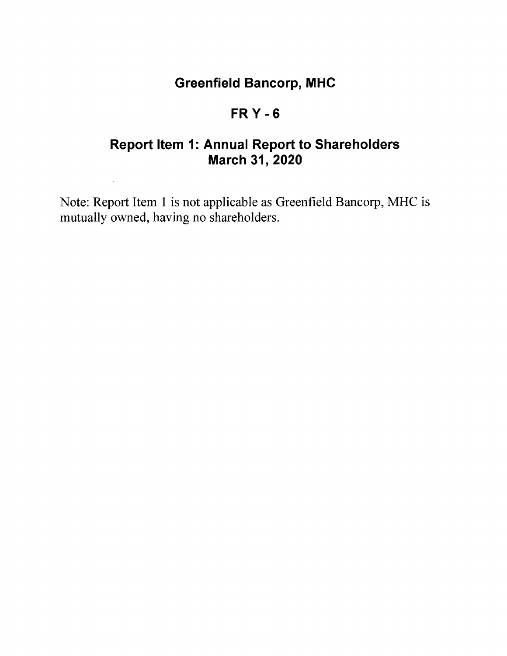# Greenfield Bancorp, MHG

## FRY.6

# Report Item 1: Annual Report to Shareholders March 31, 2020

Note: Report ltem I is not applicable as Greenfield Bancorp, MHC is mutually owned, having no shareholders.

 $\bar{\mathcal{A}}$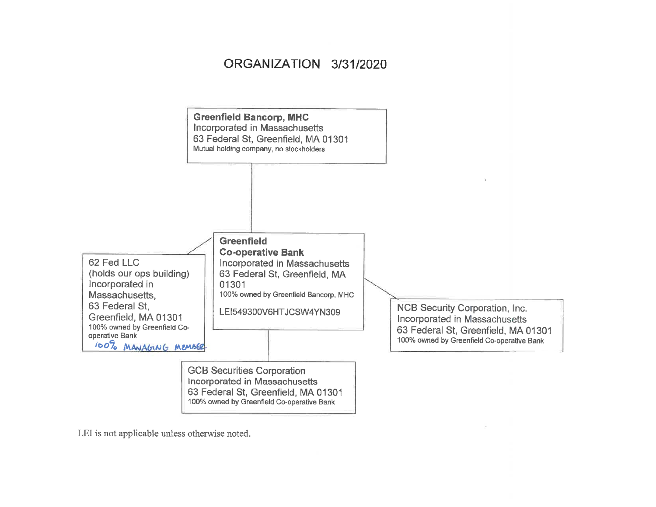## ORGANIZATION 3/31/2020



LEI is not applicable unless otherwise noted.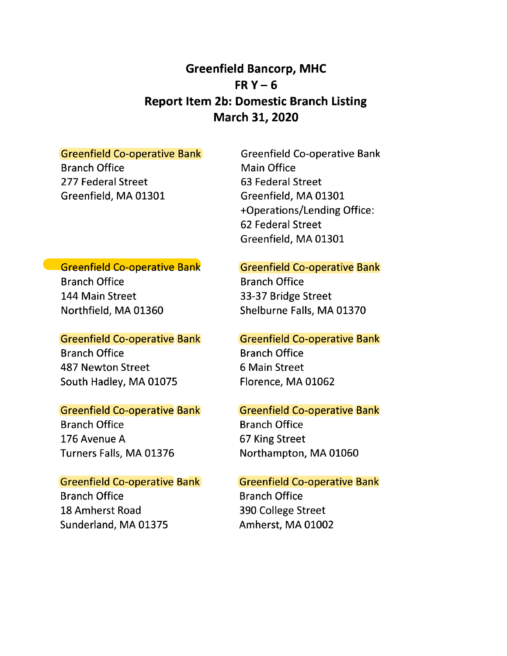### Greenfield Bancorp, MHC FR $Y-6$ Report ltem 2b: Domestic Branch Listing March 31, 2020

#### Greenfield Co-operative Bank

Branch Office 277 Federal Street Greenfield, MA 01301

Greenfield Co-operative Bank Main Office 63 Federal Street Greenfield, MA 01301- +Operations/Lending Office: 62 Federal Street Greenfield, MA 0130L

### **Greenfield Co-operative Bank**

Branch Office 144 Main Street Northfield, MA 01360

#### Greenfield Co-operative Bank

Branch Office 487 Newton Street South Hadley, MA 01075

#### Greenfield Co-operative Bank

Branch Office 176 Avenue A Turners Falls, MA 01376

#### **Greenfield Co-operative Bank**

Branch Office L8 Amherst Road Sunderland, MA 01375

### Greenfield Co-operative Bank

Branch Office 33-37 Bridge Street Shelburne Falls, MA 01370

#### Greenfield Co-operative Bank

Branch Office 6 Main Street Florence, MA 01062

### Greenfield Co-operative Bank

Branch Office 67 King Street Northampton, MA 01060

### Greenfield Co-operative Bank

Branch Office 390 College Street Amherst, MA 01002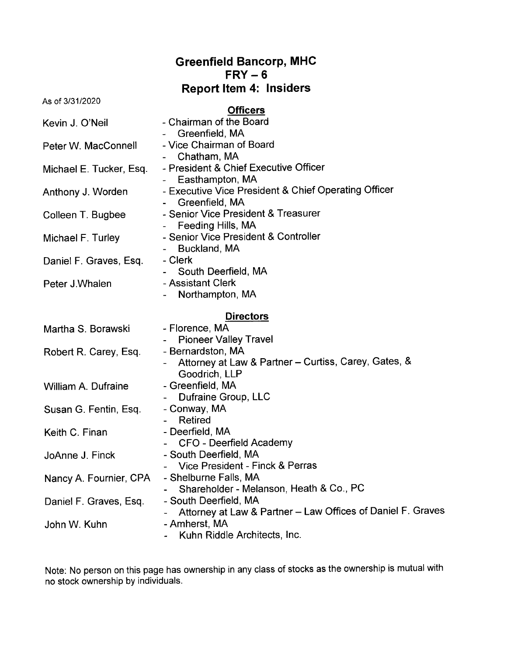|                         | <b>Greenfield Bancorp, MHC</b><br>$FRY - 6$                                                |
|-------------------------|--------------------------------------------------------------------------------------------|
|                         | <b>Report Item 4: Insiders</b>                                                             |
| As of 3/31/2020         |                                                                                            |
| Kevin J. O'Neil         | <b>Officers</b><br>- Chairman of the Board<br>Greenfield, MA                               |
| Peter W. MacConnell     | - Vice Chairman of Board<br>Chatham, MA                                                    |
| Michael E. Tucker, Esq. | - President & Chief Executive Officer<br>Easthampton, MA                                   |
| Anthony J. Worden       | - Executive Vice President & Chief Operating Officer<br>Greenfield, MA                     |
| Colleen T. Bugbee       | - Senior Vice President & Treasurer<br>Feeding Hills, MA                                   |
| Michael F. Turley       | - Senior Vice President & Controller<br>Buckland, MA                                       |
| Daniel F. Graves, Esq.  | - Clerk<br>South Deerfield, MA                                                             |
| Peter J.Whalen          | - Assistant Clerk<br>Northampton, MA                                                       |
|                         | <b>Directors</b>                                                                           |
| Martha S. Borawski      | - Florence, MA<br><b>Pioneer Valley Travel</b>                                             |
| Robert R. Carey, Esq.   | - Bernardston, MA<br>Attorney at Law & Partner - Curtiss, Carey, Gates, &<br>Goodrich, LLP |
| William A. Dufraine     | - Greenfield, MA<br>Dufraine Group, LLC                                                    |
| Susan G. Fentin, Esq.   | - Conway, MA<br><b>Retired</b>                                                             |
| Keith C. Finan          | - Deerfield, MA<br>CFO - Deerfield Academy                                                 |
| JoAnne J. Finck         | - South Deerfield, MA<br>Vice President - Finck & Perras                                   |
| Nancy A. Fournier, CPA  | - Shelburne Falls, MA<br>Shareholder - Melanson, Heath & Co., PC                           |
| Daniel F. Graves, Esq.  | - South Deerfield, MA<br>Attorney at Law & Partner - Law Offices of Daniel F. Graves       |
| John W. Kuhn            | - Amherst, MA<br>Kuhn Riddle Architects, Inc.                                              |

Note: No person on this page has ownership in any class of stocks as the ownership is mutual with no stock ownership by individuals.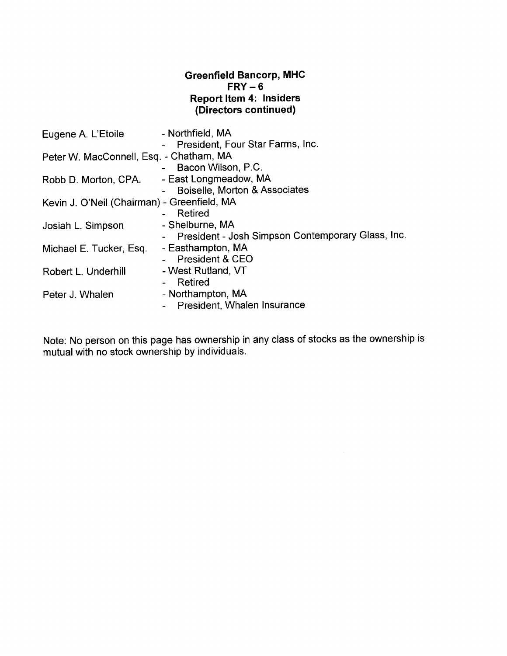#### Greenfield Bancorp, MHC  $FRY-6$ Report ltem 4: lnsiders (Directors continued)

| Eugene A. L'Etoile                          | - Northfield, MA<br>- President, Four Star Farms, Inc. |
|---------------------------------------------|--------------------------------------------------------|
| Peter W. MacConnell, Esq. - Chatham, MA     |                                                        |
|                                             | Bacon Wilson, P.C.                                     |
| Robb D. Morton, CPA.                        | - East Longmeadow, MA                                  |
|                                             | Boiselle, Morton & Associates                          |
| Kevin J. O'Neil (Chairman) - Greenfield, MA |                                                        |
|                                             | - Retired                                              |
| Josiah L. Simpson                           | - Shelburne, MA                                        |
|                                             | - President - Josh Simpson Contemporary Glass, Inc.    |
| Michael E. Tucker, Esq.                     | - Easthampton, MA                                      |
|                                             | - President & CEO                                      |
| Robert L. Underhill                         | - West Rutland, VT                                     |
|                                             | Retired                                                |
| Peter J. Whalen                             | - Northampton, MA                                      |
|                                             | President, Whalen Insurance                            |
|                                             |                                                        |

Note: No person on this page has ownership in any class of stocks as the ownership is mutual with no stock ownership by individuals.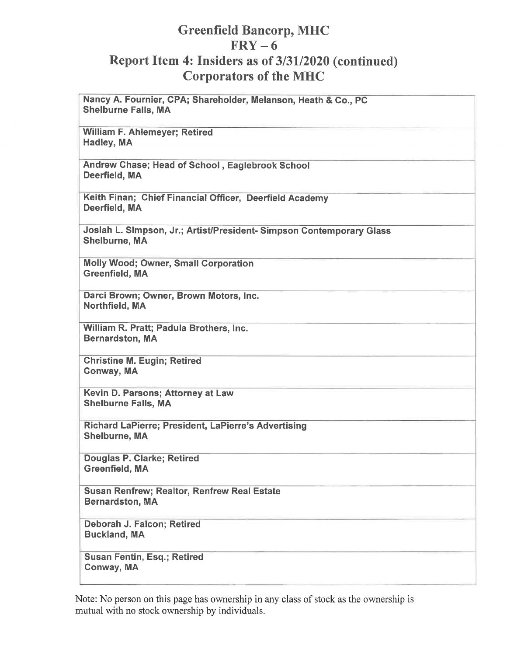### **Greenfield Bancorp, MHC**  $FRY - 6$ Report Item 4: Insiders as of 3/31/2020 (continued) **Corporators of the MHC**

Nancy A. Fournier, CPA; Shareholder, Melanson, Heath & Co., PC **Shelburne Falls, MA** William F. Ahlemeyer; Retired Hadley, MA Andrew Chase; Head of School, Eaglebrook School Deerfield, MA Keith Finan; Chief Financial Officer, Deerfield Academy Deerfield, MA Josiah L. Simpson, Jr.; Artist/President-Simpson Contemporary Glass Shelburne, MA **Molly Wood; Owner, Small Corporation Greenfield, MA** Darci Brown; Owner, Brown Motors, Inc. Northfield, MA William R. Pratt; Padula Brothers, Inc. **Bernardston, MA Christine M. Eugin; Retired** Conway, MA Kevin D. Parsons; Attorney at Law **Shelburne Falls, MA** Richard LaPierre; President, LaPierre's Advertising **Shelburne, MA** Douglas P. Clarke; Retired Greenfield, MA **Susan Renfrew; Realtor, Renfrew Real Estate Bernardston, MA** Deborah J. Falcon; Retired **Buckland, MA Susan Fentin, Esg.; Retired** Conway, MA

Note: No person on this page has ownership in any class of stock as the ownership is mutual with no stock ownership by individuals.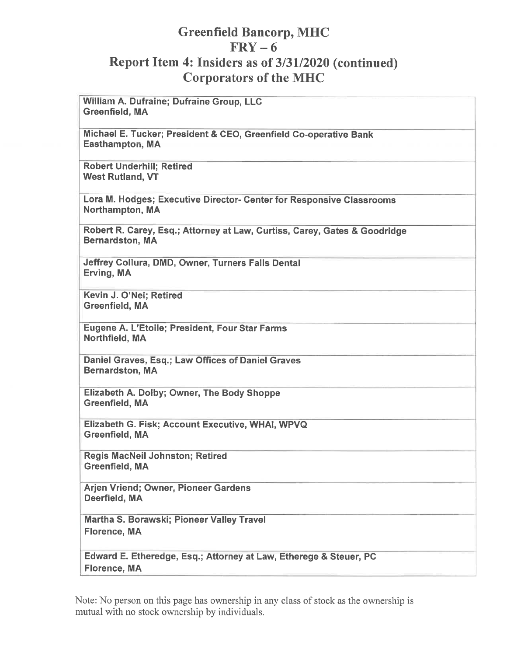### **Greenfield Bancorp, MHC**  $FRY - 6$ Report Item 4: Insiders as of 3/31/2020 (continued) **Corporators of the MHC**

**William A. Dufraine: Dufraine Group, LLC Greenfield, MA** Michael E. Tucker; President & CEO, Greenfield Co-operative Bank Easthampton, MA **Robert Underhill: Retired West Rutland, VT** Lora M. Hodges; Executive Director- Center for Responsive Classrooms Northampton, MA

Robert R. Carey, Esq.; Attorney at Law, Curtiss, Carey, Gates & Goodridge **Bernardston, MA** 

Jeffrey Collura, DMD, Owner, Turners Falls Dental Erving, MA

Kevin J. O'Nei; Retired Greenfield, MA

Eugene A. L'Etoile; President, Four Star Farms Northfield, MA

Daniel Graves, Esq.; Law Offices of Daniel Graves **Bernardston, MA** 

Elizabeth A. Dolby; Owner, The Body Shoppe Greenfield, MA

Elizabeth G. Fisk; Account Executive, WHAI, WPVQ Greenfield, MA

Regis MacNeil Johnston; Retired Greenfield, MA

Arjen Vriend; Owner, Pioneer Gardens Deerfield, MA

Martha S. Borawski; Pioneer Valley Travel Florence, MA

Edward E. Etheredge, Esq.; Attorney at Law, Etherege & Steuer, PC **Florence, MA** 

Note: No person on this page has ownership in any class of stock as the ownership is mutual with no stock ownership by individuals.